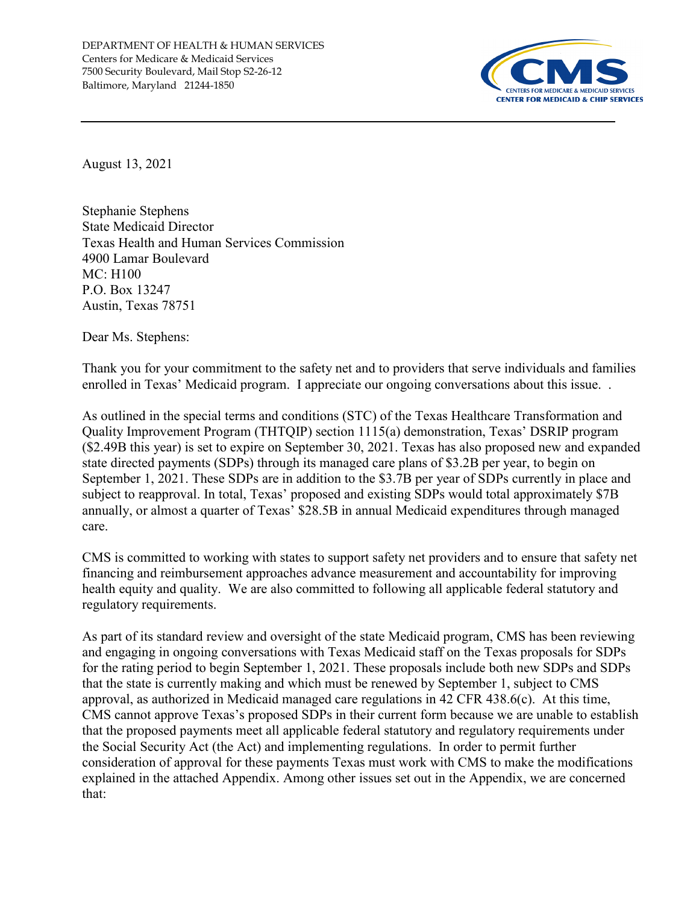

August 13, 2021

Stephanie Stephens State Medicaid Director Texas Health and Human Services Commission 4900 Lamar Boulevard MC: H100 P.O. Box 13247 Austin, Texas 78751

Dear Ms. Stephens:

Thank you for your commitment to the safety net and to providers that serve individuals and families enrolled in Texas' Medicaid program. I appreciate our ongoing conversations about this issue. .

As outlined in the special terms and conditions (STC) of the Texas Healthcare Transformation and Quality Improvement Program (THTQIP) section 1115(a) demonstration, Texas' DSRIP program (\$2.49B this year) is set to expire on September 30, 2021. Texas has also proposed new and expanded state directed payments (SDPs) through its managed care plans of \$3.2B per year, to begin on September 1, 2021. These SDPs are in addition to the \$3.7B per year of SDPs currently in place and subject to reapproval. In total, Texas' proposed and existing SDPs would total approximately \$7B annually, or almost a quarter of Texas' \$28.5B in annual Medicaid expenditures through managed care.

CMS is committed to working with states to support safety net providers and to ensure that safety net financing and reimbursement approaches advance measurement and accountability for improving health equity and quality. We are also committed to following all applicable federal statutory and regulatory requirements.

As part of its standard review and oversight of the state Medicaid program, CMS has been reviewing and engaging in ongoing conversations with Texas Medicaid staff on the Texas proposals for SDPs for the rating period to begin September 1, 2021. These proposals include both new SDPs and SDPs that the state is currently making and which must be renewed by September 1, subject to CMS approval, as authorized in Medicaid managed care regulations in 42 CFR 438.6(c). At this time, CMS cannot approve Texas's proposed SDPs in their current form because we are unable to establish that the proposed payments meet all applicable federal statutory and regulatory requirements under the Social Security Act (the Act) and implementing regulations. In order to permit further consideration of approval for these payments Texas must work with CMS to make the modifications explained in the attached Appendix. Among other issues set out in the Appendix, we are concerned that: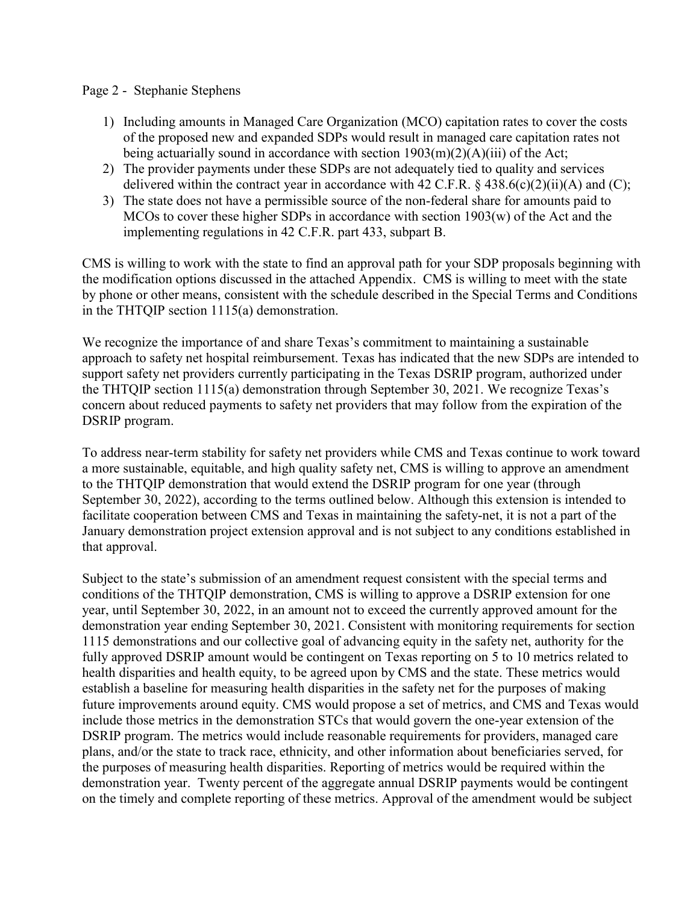## Page 2 - Stephanie Stephens

- 1) Including amounts in Managed Care Organization (MCO) capitation rates to cover the costs of the proposed new and expanded SDPs would result in managed care capitation rates not being actuarially sound in accordance with section  $1903(m)(2)(A)(iii)$  of the Act;
- 2) The provider payments under these SDPs are not adequately tied to quality and services delivered within the contract year in accordance with 42 C.F.R.  $\&$  438.6(c)(2)(ii)(A) and (C);
- 3) The state does not have a permissible source of the non-federal share for amounts paid to MCOs to cover these higher SDPs in accordance with section 1903(w) of the Act and the implementing regulations in 42 C.F.R. part 433, subpart B.

CMS is willing to work with the state to find an approval path for your SDP proposals beginning with the modification options discussed in the attached Appendix. CMS is willing to meet with the state by phone or other means, consistent with the schedule described in the Special Terms and Conditions in the THTQIP section 1115(a) demonstration.

We recognize the importance of and share Texas's commitment to maintaining a sustainable approach to safety net hospital reimbursement. Texas has indicated that the new SDPs are intended to support safety net providers currently participating in the Texas DSRIP program, authorized under the THTQIP section 1115(a) demonstration through September 30, 2021. We recognize Texas's concern about reduced payments to safety net providers that may follow from the expiration of the DSRIP program.

To address near-term stability for safety net providers while CMS and Texas continue to work toward a more sustainable, equitable, and high quality safety net, CMS is willing to approve an amendment to the THTQIP demonstration that would extend the DSRIP program for one year (through September 30, 2022), according to the terms outlined below. Although this extension is intended to facilitate cooperation between CMS and Texas in maintaining the safety-net, it is not a part of the January demonstration project extension approval and is not subject to any conditions established in that approval.

Subject to the state's submission of an amendment request consistent with the special terms and conditions of the THTQIP demonstration, CMS is willing to approve a DSRIP extension for one year, until September 30, 2022, in an amount not to exceed the currently approved amount for the demonstration year ending September 30, 2021. Consistent with monitoring requirements for section 1115 demonstrations and our collective goal of advancing equity in the safety net, authority for the fully approved DSRIP amount would be contingent on Texas reporting on 5 to 10 metrics related to health disparities and health equity, to be agreed upon by CMS and the state. These metrics would establish a baseline for measuring health disparities in the safety net for the purposes of making future improvements around equity. CMS would propose a set of metrics, and CMS and Texas would include those metrics in the demonstration STCs that would govern the one-year extension of the DSRIP program. The metrics would include reasonable requirements for providers, managed care plans, and/or the state to track race, ethnicity, and other information about beneficiaries served, for the purposes of measuring health disparities. Reporting of metrics would be required within the demonstration year. Twenty percent of the aggregate annual DSRIP payments would be contingent on the timely and complete reporting of these metrics. Approval of the amendment would be subject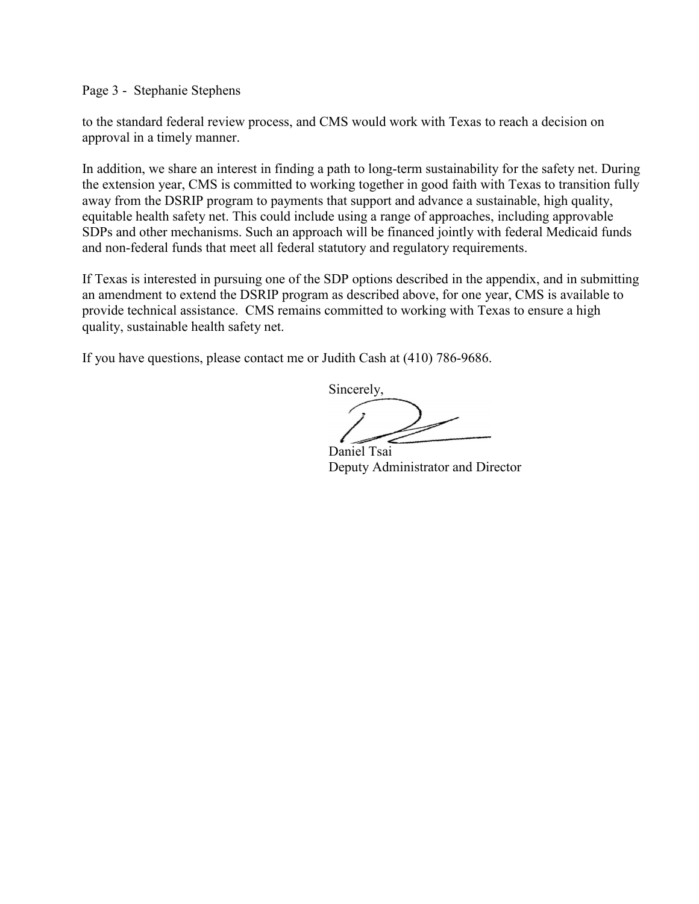Page 3 - Stephanie Stephens

to the standard federal review process, and CMS would work with Texas to reach a decision on approval in a timely manner.

In addition, we share an interest in finding a path to long-term sustainability for the safety net. During the extension year, CMS is committed to working together in good faith with Texas to transition fully away from the DSRIP program to payments that support and advance a sustainable, high quality, equitable health safety net. This could include using a range of approaches, including approvable SDPs and other mechanisms. Such an approach will be financed jointly with federal Medicaid funds and non-federal funds that meet all federal statutory and regulatory requirements.

If Texas is interested in pursuing one of the SDP options described in the appendix, and in submitting an amendment to extend the DSRIP program as described above, for one year, CMS is available to provide technical assistance. CMS remains committed to working with Texas to ensure a high quality, sustainable health safety net.

If you have questions, please contact me or Judith Cash at (410) 786-9686.

Sincerely,

 Daniel Tsai Deputy Administrator and Director